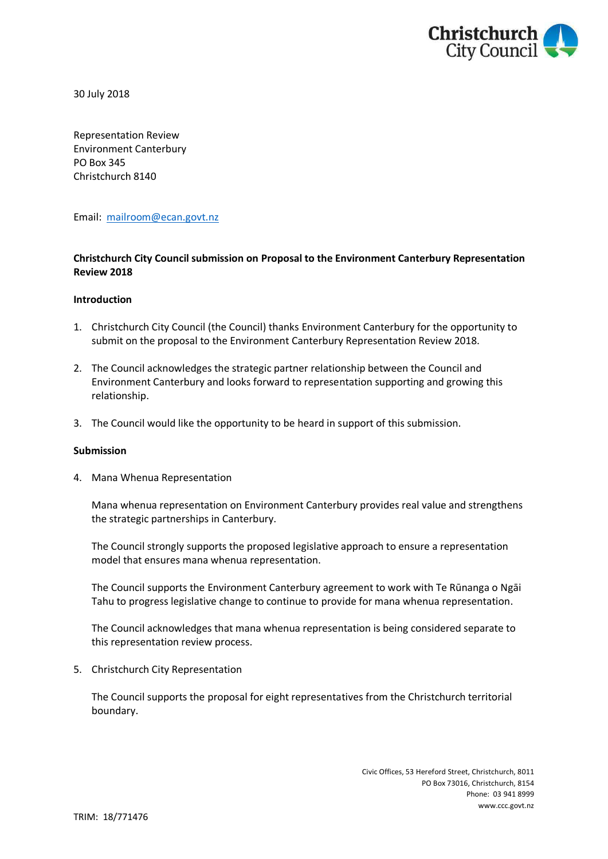

30 July 2018

Representation Review Environment Canterbury PO Box 345 Christchurch 8140

Email: [mailroom@ecan.govt.nz](mailto:mailroom@ecan.govt.nz)

## **Christchurch City Council submission on Proposal to the Environment Canterbury Representation Review 2018**

## **Introduction**

- 1. Christchurch City Council (the Council) thanks Environment Canterbury for the opportunity to submit on the proposal to the Environment Canterbury Representation Review 2018.
- 2. The Council acknowledges the strategic partner relationship between the Council and Environment Canterbury and looks forward to representation supporting and growing this relationship.
- 3. The Council would like the opportunity to be heard in support of this submission.

## **Submission**

4. Mana Whenua Representation

Mana whenua representation on Environment Canterbury provides real value and strengthens the strategic partnerships in Canterbury.

The Council strongly supports the proposed legislative approach to ensure a representation model that ensures mana whenua representation.

The Council supports the Environment Canterbury agreement to work with Te Rūnanga o Ngāi Tahu to progress legislative change to continue to provide for mana whenua representation.

The Council acknowledges that mana whenua representation is being considered separate to this representation review process.

5. Christchurch City Representation

The Council supports the proposal for eight representatives from the Christchurch territorial boundary.